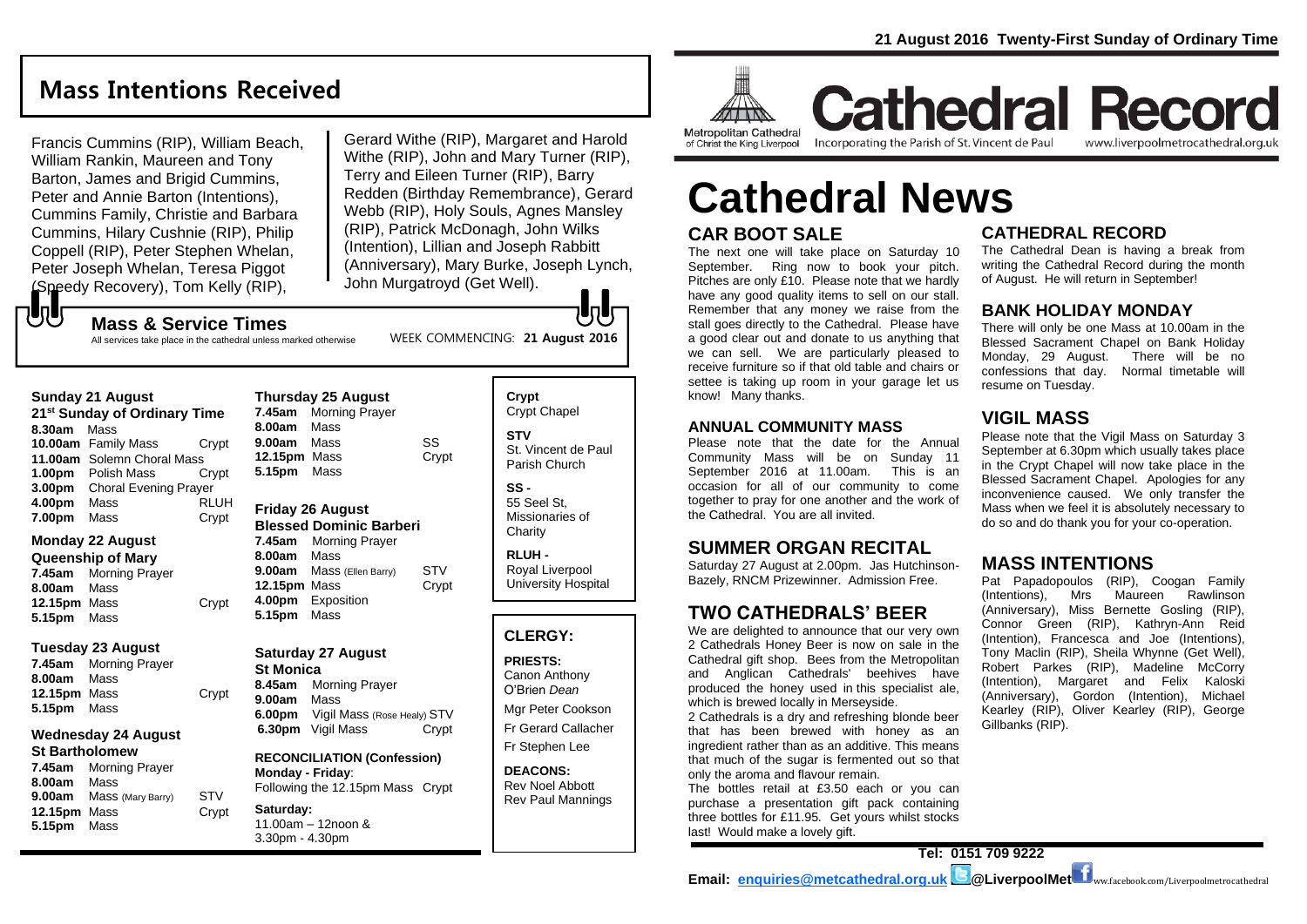## **Mass Intentions Received**

Francis Cummins (RIP), William Beach, William Rankin, Maureen and Tony Barton, James and Brigid Cummins. Peter and Annie Barton (Intentions), Cummins Family, Christie and Barbara Cummins, Hilary Cushnie (RIP), Philip Coppell (RIP), Peter Stephen Whelan, Peter Joseph Whelan, Teresa Piggot (Speedy Recovery), Tom Kelly (RIP),

Gerard Withe (RIP), Margaret and Harold Withe (RIP), John and Mary Turner (RIP), Terry and Eileen Turner (RIP), Barry Redden (Birthday Remembrance), Gerard Webb (RIP), Holy Souls, Agnes Mansley (RIP), Patrick McDonagh, John Wilks (Intention), Lillian and Joseph Rabbitt (Anniversary), Mary Burke, Joseph Lynch, John Murgatroyd (Get Well).

もし **Mass & Service Times**

#### All services take place in the cathedral unless marked otherwise

WEEK COMMENCING: **21 August 2016**

| <b>Sunday 21 August</b> |  |
|-------------------------|--|
|                         |  |

**21st Sunday of Ordinary Time 8.30am** Mass **10.00am** Family Mass Crypt **11.00am** Solemn Choral Mass **1.00pm** Polish Mass Crypt **3.00pm** Choral Evening Prayer **4.00pm** Mass RLUH **7.00pm** Mass **Crypt** 

#### **Monday 22 August Queenship of Mary**

**7.45am** Morning Prayer **8.00am** Mass **12.15pm** Mass Crypt **5.15pm** Mass

#### **Tuesday 23 August**

**7.45am** Morning Prayer **8.00am** Mass **12.15pm** Mass Crypt **5.15pm** Mass

#### **Wednesday 24 August St Bartholomew**

**7.45am** Morning Prayer **8.00am** Mass **9.00am** Mass (Mary Barry) STV **12.15pm** Mass Crypt **5.15pm** Mass

|                     | 7.45am Morning Prayer |       |
|---------------------|-----------------------|-------|
|                     |                       |       |
| 8.00am Mass         |                       |       |
| 9.00am Mass         |                       | SS    |
| <b>12.15pm</b> Mass |                       | Crypt |
| 5.15pm Mass         |                       |       |

#### **Friday 26 August Blessed Dominic Barberi**

**7.45am** Morning Prayer **8.00am** Mass **9.00am** Mass (Ellen Barry) STV **12.15pm** Mass Crypt **4.00pm** Exposition **5.15pm** Mass

### **Saturday 27 August**

**St Monica 8.45am** Morning Prayer **9.00am** Mass **6.00pm** Vigil Mass (Rose Healy) STV **6.30pm** Vigil Mass Crypt

**RECONCILIATION (Confession) Monday - Friday**: Following the 12.15pm Mass Crypt

#### **Saturday:** 11.00am – 12noon & 3.30pm - 4.30pm

**Crypt**  Crypt Chapel **STV** St. Vincent de Paul Parish Church

**SS -** 55 Seel St, Missionaries of **Charity** 

**RLUH -** Royal Liverpool University Hospital

#### **CLERGY:**

**PRIESTS:** Canon Anthony O'Brien *Dean*

Mgr Peter Cookson Fr Gerard Callacher Fr Stephen Lee

**DEACONS:** Rev Noel Abbott Rev Paul Mannings



**Cathedral Record** of Christ the King Liverpool

Incorporating the Parish of St. Vincent de Paul

www.liverpoolmetrocathedral.org.uk

# **CAR BOOT SALE Cathedral News**

The next one will take place on Saturday 10 September. Ring now to book your pitch. Pitches are only £10. Please note that we hardly have any good quality items to sell on our stall. Remember that any money we raise from the stall goes directly to the Cathedral. Please have a good clear out and donate to us anything that we can sell. We are particularly pleased to receive furniture so if that old table and chairs or settee is taking up room in your garage let us know! Many thanks.

#### **ANNUAL COMMUNITY MASS**

Please note that the date for the Annual Community Mass will be on Sunday 11 September 2016 at 11.00am. This is an occasion for all of our community to come together to pray for one another and the work of the Cathedral. You are all invited.

### **SUMMER ORGAN RECITAL**

Saturday 27 August at 2.00pm. Jas Hutchinson-Bazely, RNCM Prizewinner. Admission Free.

### **TWO CATHEDRALS' BEER**

We are delighted to announce that our very own 2 Cathedrals Honey Beer is now on sale in the Cathedral gift shop. Bees from the Metropolitan and Anglican Cathedrals' beehives have produced the honey used in this specialist ale, which is brewed locally in Merseyside.

2 Cathedrals is a dry and refreshing blonde beer that has been brewed with honey as an ingredient rather than as an additive. This means that much of the sugar is fermented out so that only the aroma and flavour remain.

The bottles retail at £3.50 each or you can purchase a presentation gift pack containing three bottles for £11.95. Get yours whilst stocks last! Would make a lovely gift.

### **CATHEDRAL RECORD**

The Cathedral Dean is having a break from writing the Cathedral Record during the month of August. He will return in September!

### **BANK HOLIDAY MONDAY**

There will only be one Mass at 10.00am in the Blessed Sacrament Chapel on Bank Holiday<br>Monday, 29 August. There will be no Monday, 29 August. confessions that day. Normal timetable will resume on Tuesday.

### **VIGIL MASS**

Please note that the Vigil Mass on Saturday 3 September at 6.30pm which usually takes place in the Crypt Chapel will now take place in the Blessed Sacrament Chapel. Apologies for any inconvenience caused. We only transfer the Mass when we feel it is absolutely necessary to do so and do thank you for your co-operation.

### **MASS INTENTIONS**

Pat Papadopoulos (RIP), Coogan Family (Intentions), Mrs Maureen Rawlinson (Anniversary), Miss Bernette Gosling (RIP), Connor Green (RIP), Kathryn-Ann Reid (Intention), Francesca and Joe (Intentions), Tony Maclin (RIP), Sheila Whynne (Get Well), Robert Parkes (RIP), Madeline McCorry (Intention), Margaret and Felix Kaloski (Anniversary), Gordon (Intention), Michael Kearley (RIP), Oliver Kearley (RIP), George Gillbanks (RIP).

**Tel: 0151 709 9222 Email: [enquiries@metcathedral.org.uk](mailto:enquiries@metcathedral.org.uk) | B**@LiverpoolMet ww.facebook.com/Liverpoolmetrocathedral